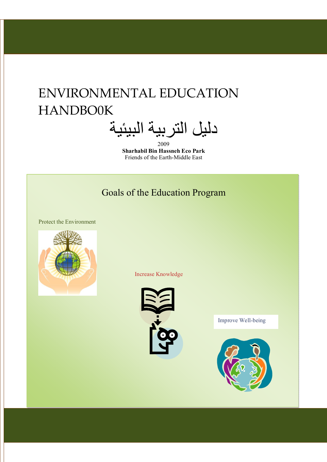### ENVIRONMENTAL EDUCATION HANDBO0K

دلیل التربیة البیئیة 2009

**Sharhabil Bin Hassneh Eco Park** Friends of the Earth-Middle East

### Goals of the Education Program

Protect the Environment



Increase Knowledge



Improve Well-being

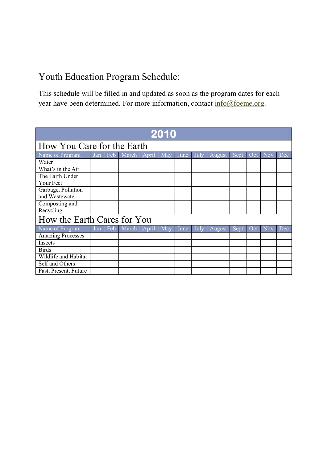### Youth Education Program Schedule:

This schedule will be filled in and updated as soon as the program dates for each year have been determined. For more information, contact info@foeme.org.

| 2010                        |     |     |       |         |     |      |      |        |      |     |            |     |
|-----------------------------|-----|-----|-------|---------|-----|------|------|--------|------|-----|------------|-----|
| How You Care for the Earth  |     |     |       |         |     |      |      |        |      |     |            |     |
| Name of Program             | Jan | Feb | March | [April] | Max | June | July | August | Sept | Oct | <b>Nov</b> | Dec |
| Water                       |     |     |       |         |     |      |      |        |      |     |            |     |
| What's in the Air           |     |     |       |         |     |      |      |        |      |     |            |     |
| The Earth Under             |     |     |       |         |     |      |      |        |      |     |            |     |
| Your Feet                   |     |     |       |         |     |      |      |        |      |     |            |     |
| Garbage, Pollution          |     |     |       |         |     |      |      |        |      |     |            |     |
| and Wastewater              |     |     |       |         |     |      |      |        |      |     |            |     |
| Composting and              |     |     |       |         |     |      |      |        |      |     |            |     |
| Recycling                   |     |     |       |         |     |      |      |        |      |     |            |     |
| How the Earth Cares for You |     |     |       |         |     |      |      |        |      |     |            |     |
| Name of Program             | Jan | Feb | March | April   | Max | June | July | August | Sept | Oct | <b>Nov</b> | Dec |
| <b>Amazing Processes</b>    |     |     |       |         |     |      |      |        |      |     |            |     |
| Insects                     |     |     |       |         |     |      |      |        |      |     |            |     |
| <b>Birds</b>                |     |     |       |         |     |      |      |        |      |     |            |     |
| Wildlife and Habitat        |     |     |       |         |     |      |      |        |      |     |            |     |
| Self and Others             |     |     |       |         |     |      |      |        |      |     |            |     |
| Past, Present, Future       |     |     |       |         |     |      |      |        |      |     |            |     |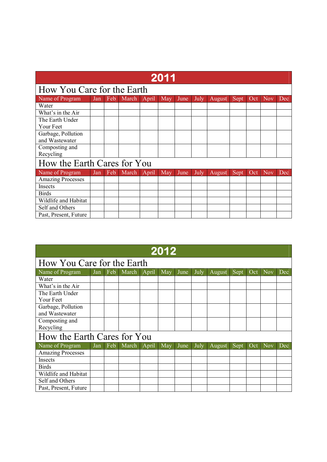| 2011                        |     |     |       |       |     |      |      |        |      |     |            |            |
|-----------------------------|-----|-----|-------|-------|-----|------|------|--------|------|-----|------------|------------|
| How You Care for the Earth  |     |     |       |       |     |      |      |        |      |     |            |            |
| Name of Program             | Jan | Feb | March | April | May | June | July | August | Sept | Oct | <b>Nov</b> | Dec        |
| Water                       |     |     |       |       |     |      |      |        |      |     |            |            |
| What's in the Air           |     |     |       |       |     |      |      |        |      |     |            |            |
| The Earth Under             |     |     |       |       |     |      |      |        |      |     |            |            |
| Your Feet                   |     |     |       |       |     |      |      |        |      |     |            |            |
| Garbage, Pollution          |     |     |       |       |     |      |      |        |      |     |            |            |
| and Wastewater              |     |     |       |       |     |      |      |        |      |     |            |            |
| Composting and              |     |     |       |       |     |      |      |        |      |     |            |            |
| Recycling                   |     |     |       |       |     |      |      |        |      |     |            |            |
| How the Earth Cares for You |     |     |       |       |     |      |      |        |      |     |            |            |
| Name of Program             | Jan | Feb | March | April | May | June | July | August | Sept | Oct | <b>Nov</b> | <b>Dec</b> |
| <b>Amazing Processes</b>    |     |     |       |       |     |      |      |        |      |     |            |            |
| Insects                     |     |     |       |       |     |      |      |        |      |     |            |            |
| <b>Birds</b>                |     |     |       |       |     |      |      |        |      |     |            |            |
| Wildlife and Habitat        |     |     |       |       |     |      |      |        |      |     |            |            |
| Self and Others             |     |     |       |       |     |      |      |        |      |     |            |            |
| Past, Present, Future       |     |     |       |       |     |      |      |        |      |     |            |            |

| 2012                        |     |     |       |       |     |      |      |        |      |     |            |     |
|-----------------------------|-----|-----|-------|-------|-----|------|------|--------|------|-----|------------|-----|
| How You Care for the Earth  |     |     |       |       |     |      |      |        |      |     |            |     |
| Name of Program             | Jan | Feb | March | April | May | June | July | August | Sept | Oct | <b>Nov</b> | Dec |
| Water                       |     |     |       |       |     |      |      |        |      |     |            |     |
| What's in the Air           |     |     |       |       |     |      |      |        |      |     |            |     |
| The Earth Under             |     |     |       |       |     |      |      |        |      |     |            |     |
| Your Feet                   |     |     |       |       |     |      |      |        |      |     |            |     |
| Garbage, Pollution          |     |     |       |       |     |      |      |        |      |     |            |     |
| and Wastewater              |     |     |       |       |     |      |      |        |      |     |            |     |
| Composting and              |     |     |       |       |     |      |      |        |      |     |            |     |
| Recycling                   |     |     |       |       |     |      |      |        |      |     |            |     |
| How the Earth Cares for You |     |     |       |       |     |      |      |        |      |     |            |     |
| Name of Program             | Jan | Feb | March | April | May | June | July | August | Sept | Oct | <b>Nov</b> | Dec |
| <b>Amazing Processes</b>    |     |     |       |       |     |      |      |        |      |     |            |     |
| <b>Insects</b>              |     |     |       |       |     |      |      |        |      |     |            |     |
| <b>Birds</b>                |     |     |       |       |     |      |      |        |      |     |            |     |
| Wildlife and Habitat        |     |     |       |       |     |      |      |        |      |     |            |     |
| Self and Others             |     |     |       |       |     |      |      |        |      |     |            |     |
| Past, Present, Future       |     |     |       |       |     |      |      |        |      |     |            |     |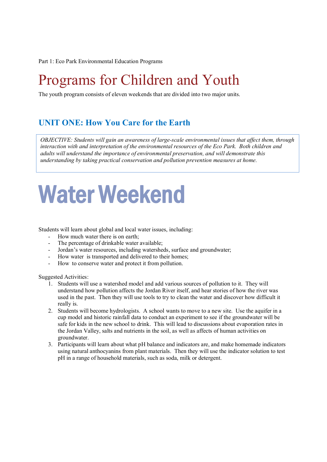Part 1: Eco Park Environmental Education Programs

### Programs for Children and Youth

The youth program consists of eleven weekends that are divided into two major units.

### **UNIT ONE: How You Care for the Earth**

 *interaction with and interpretation of the environmental resources of the Eco Park. Both children and OBJECTIVE: Students will gain an awareness of large-scale environmental issues that affect them, through adults will understand the importance of environmental preservation, and will demonstrate this understanding by taking practical conservation and pollution prevention measures at home.*

## **Water Weekend**

Students will learn about global and local water issues, including:

- How much water there is on earth;
- The percentage of drinkable water available;
- Jordan's water resources, including watersheds, surface and groundwater;
- How water is transported and delivered to their homes;
- How to conserve water and protect it from pollution.

- 1. Students will use a watershed model and add various sources of pollution to it. They will understand how pollution affects the Jordan River itself, and hear stories of how the river was used in the past. Then they will use tools to try to clean the water and discover how difficult it really is.
- 2. Students will become hydrologists. A school wants to move to a new site. Use the aquifer in a cup model and historic rainfall data to conduct an experiment to see if the groundwater will be safe for kids in the new school to drink. This will lead to discussions about evaporation rates in the Jordan Valley, salts and nutrients in the soil, as well as affects of human activities on groundwater.
- 3. Participants will learn about what pH balance and indicators are, and make homemade indicators using natural anthocyanins from plant materials. Then they will use the indicator solution to test pH in a range of household materials, such as soda, milk or detergent.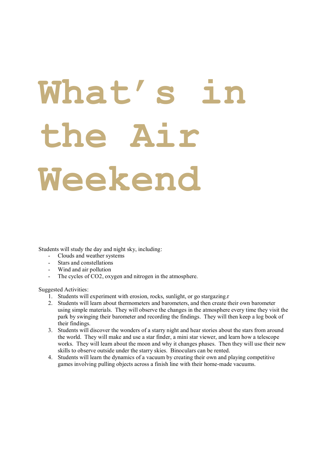# **What's in the Air Weekend**

Students will study the day and night sky, including:

- Clouds and weather systems
- Stars and constellations
- Wind and air pollution
- The cycles of CO2, oxygen and nitrogen in the atmosphere.

- 1. Students will experiment with erosion, rocks, sunlight, or go stargazing.r
- 2. Students will learn about thermometers and barometers, and then create their own barometer using simple materials. They will observe the changes in the atmosphere every time they visit the park by swinging their barometer and recording the findings. They will then keep a log book of their findings.
- 3. Students will discover the wonders of a starry night and hear stories about the stars from around the world. They will make and use a star finder, a mini star viewer, and learn how a telescope works. They will learn about the moon and why it changes phases. Then they will use their new skills to observe outside under the starry skies. Binoculars can be rented.
- 4. Students will learn the dynamics of a vacuum by creating their own and playing competitive games involving pulling objects across a finish line with their home-made vacuums.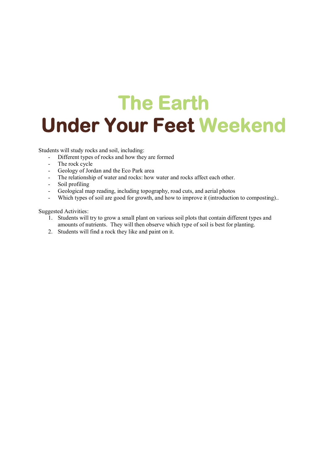## **The Earth Under Your Feet Weekend**

Students will study rocks and soil, including:

- Different types of rocks and how they are formed
- The rock cycle
- Geology of Jordan and the Eco Park area
- The relationship of water and rocks: how water and rocks affect each other.
- Soil profiling
- Geological map reading, including topography, road cuts, and aerial photos
- Which types of soil are good for growth, and how to improve it (introduction to composting)..

- 1. Students will try to grow a small plant on various soil plots that contain different types and amounts of nutrients. They will then observe which type of soil is best for planting.
- 2. Students will find a rock they like and paint on it.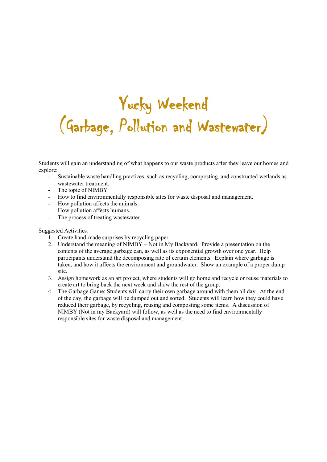### **Yucky Weekend (Garbage, Pollution and Wastewater)**

Students will gain an understanding of what happens to our waste products after they leave our homes and explore:

- Sustainable waste handling practices, such as recycling, composting, and constructed wetlands as wastewater treatment.
- The topic of NIMBY
- How to find environmentally responsible sites for waste disposal and management.
- How pollution affects the animals.
- How pollution affects humans.
- The process of treating wastewater.

- 1. Create hand-made surprises by recycling paper.
- 2. Understand the meaning of NIMBY Not in My Backyard. Provide a presentation on the contents of the average garbage can, as well as its exponential growth over one year. Help participants understand the decomposing rate of certain elements. Explain where garbage is taken, and how it affects the environment and groundwater. Show an example of a proper dump site.
- 3. Assign homework as an art project, where students will go home and recycle or reuse materials to create art to bring back the next week and show the rest of the group.
- 4. The Garbage Game: Students will carry their own garbage around with them all day. At the end of the day, the garbage will be dumped out and sorted. Students will learn how they could have reduced their garbage, by recycling, reusing and composting some items. A discussion of NIMBY (Not in my Backyard) will follow, as well as the need to find environmentally responsible sites for waste disposal and management.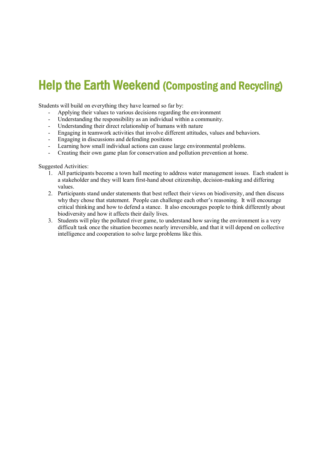### **Help the Earth Weekend (Composting and Recycling)**

Students will build on everything they have learned so far by:

- Applying their values to various decisions regarding the environment
- Understanding the responsibility as an individual within a community.
- Understanding their direct relationship of humans with nature
- Engaging in teamwork activities that involve different attitudes, values and behaviors.
- Engaging in discussions and defending positions
- Learning how small individual actions can cause large environmental problems.
- Creating their own game plan for conservation and pollution prevention at home.

- 1. All participants become a town hall meeting to address water management issues. Each student is a stakeholder and they will learn first-hand about citizenship, decision-making and differing values.
- 2. Participants stand under statements that best reflect their views on biodiversity, and then discuss why they chose that statement. People can challenge each other's reasoning. It will encourage critical thinking and how to defend a stance. It also encourages people to think differently about biodiversity and how it affects their daily lives.
- 3. Students will play the polluted river game, to understand how saving the environment is a very difficult task once the situation becomes nearly irreversible, and that it will depend on collective intelligence and cooperation to solve large problems like this.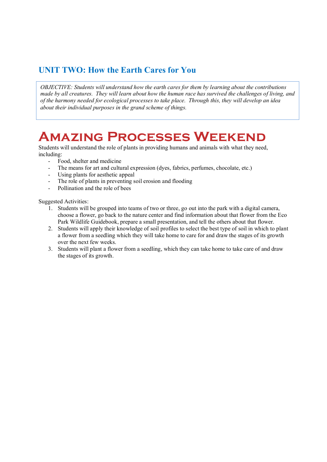### **UNIT TWO: How the Earth Cares for You**

 *made by all creatures. They will learn about how the human race has survived the challenges of living, and OBJECTIVE: Students will understand how the earth cares for them by learning about the contributions of the harmony needed for ecological processes to take place. Through this, they will develop an idea about their individual purposes in the grand scheme of things.*

### **Amazing Processes Weekend**

Students will understand the role of plants in providing humans and animals with what they need, including:

- Food, shelter and medicine
- The means for art and cultural expression (dyes, fabrics, perfumes, chocolate, etc.)
- Using plants for aesthetic appeal
- The role of plants in preventing soil erosion and flooding
- Pollination and the role of bees

- 1. Students will be grouped into teams of two or three, go out into the park with a digital camera, choose a flower, go back to the nature center and find information about that flower from the Eco Park Wildlife Guidebook, prepare a small presentation, and tell the others about that flower.
- 2. Students will apply their knowledge of soil profiles to select the best type of soil in which to plant a flower from a seedling which they will take home to care for and draw the stages of its growth over the next few weeks.
- 3. Students will plant a flower from a seedling, which they can take home to take care of and draw the stages of its growth.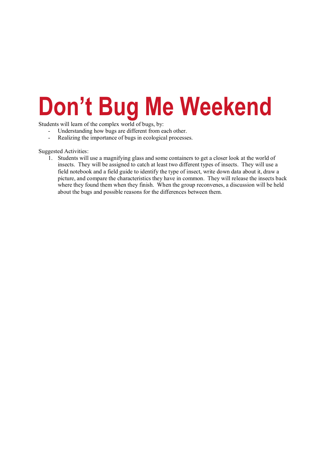## **Don't Bug Me Weekend**

Students will learn of the complex world of bugs, by:

- Understanding how bugs are different from each other.<br>Realizing the importance of bugs in ecological process
- Realizing the importance of bugs in ecological processes.

Suggested Activities:

1. Students will use a magnifying glass and some containers to get a closer look at the world of insects. They will be assigned to catch at least two different types of insects. They will use a field notebook and a field guide to identify the type of insect, write down data about it, draw a picture, and compare the characteristics they have in common. They will release the insects back where they found them when they finish. When the group reconvenes, a discussion will be held about the bugs and possible reasons for the differences between them.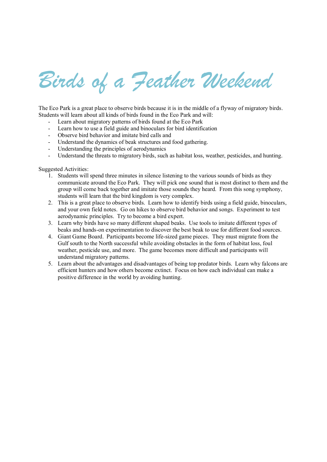## *Birds of a Feather Weekend*

The Eco Park is a great place to observe birds because it is in the middle of a flyway of migratory birds. Students will learn about all kinds of birds found in the Eco Park and will:

- Learn about migratory patterns of birds found at the Eco Park
- Learn how to use a field guide and binoculars for bird identification
- Observe bird behavior and imitate bird calls and
- Understand the dynamics of beak structures and food gathering.
- Understanding the principles of aerodynamics
- Understand the threats to migratory birds, such as habitat loss, weather, pesticides, and hunting.

- 1. Students will spend three minutes in silence listening to the various sounds of birds as they communicate around the Eco Park. They will pick one sound that is most distinct to them and the group will come back together and imitate those sounds they heard. From this song symphony, students will learn that the bird kingdom is very complex.
- 2. This is a great place to observe birds. Learn how to identify birds using a field guide, binoculars, and your own field notes. Go on hikes to observe bird behavior and songs. Experiment to test aerodynamic principles. Try to become a bird expert.
- 3. Learn why birds have so many different shaped beaks. Use tools to imitate different types of beaks and hands-on experimentation to discover the best beak to use for different food sources.
- 4. Giant Game Board. Participants become life-sized game pieces. They must migrate from the Gulf south to the North successful while avoiding obstacles in the form of habitat loss, foul weather, pesticide use, and more. The game becomes more difficult and participants will understand migratory patterns.
- 5. Learn about the advantages and disadvantages of being top predator birds. Learn why falcons are efficient hunters and how others become extinct. Focus on how each individual can make a positive difference in the world by avoiding hunting.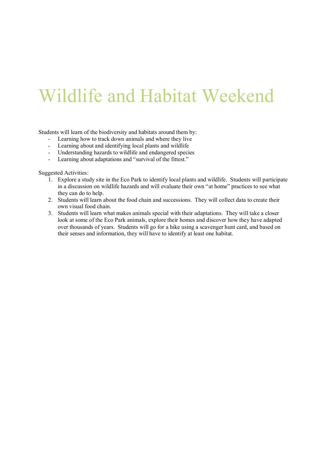## Wildlife and Habitat Weekend

Students will learn of the biodiversity and habitats around them by:

- Learning how to track down animals and where they live
- Learning about and identifying local plants and wildlife
- Understanding hazards to wildlife and endangered species
- Learning about adaptations and "survival of the fittest."

- 1. Explore a study site in the Eco Park to identify local plants and wildlife. Students will participate in a discussion on wildlife hazards and will evaluate their own "at home" practices to see what they can do to help.
- 2. Students will learn about the food chain and successions. They will collect data to create their own visual food chain.
- 3. Students will learn what makes animals special with their adaptations. They will take a closer look at some of the Eco Park animals, explore their homes and discover how they have adapted over thousands of years. Students will go for a hike using a scavenger hunt card, and based on their senses and information, they will have to identify at least one habitat.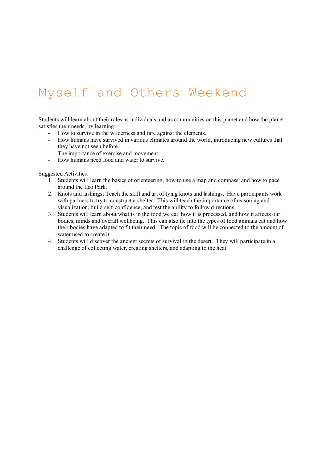### Myself and Others Weekend

Students will learn about their roles as individuals and as communities on this planet and how the planet satisfies their needs, by learning:

- How to survive in the wilderness and fare against the elements.
- How humans have survived in various climates around the world, introducing new cultures that they have not seen before.
- The importance of exercise and movement
- How humans need food and water to survive.

- 1. Students will learn the basics of orienteering, how to use a map and compass, and how to pace around the Eco Park.
- 2. Knots and lashings: Teach the skill and art of tying knots and lashings. Have participants work with partners to try to construct a shelter. This will teach the importance of reasoning and visualization, build self-confidence, and test the ability to follow directions.
- 3. Students will learn about what is in the food we eat, how it is processed, and how it affects our bodies, minds and overall wellbeing. This can also tie into the types of food animals eat and how their bodies have adapted to fit their need. The topic of food will be connected to the amount of water used to create it.
- 4. Students will discover the ancient secrets of survival in the desert. They will participate in a challenge of collecting water, creating shelters, and adapting to the heat.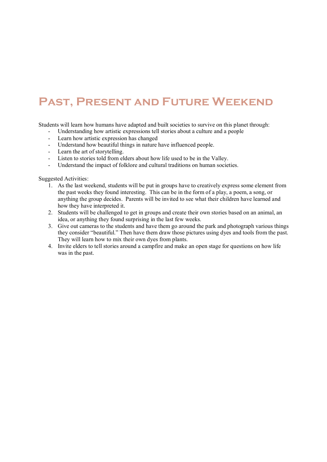### **Past, Present and Future Weekend**

Students will learn how humans have adapted and built societies to survive on this planet through:

- Understanding how artistic expressions tell stories about a culture and a people
- Learn how artistic expression has changed
- Understand how beautiful things in nature have influenced people.
- Learn the art of storytelling.
- Listen to stories told from elders about how life used to be in the Valley.
- Understand the impact of folklore and cultural traditions on human societies.

- 1. As the last weekend, students will be put in groups have to creatively express some element from the past weeks they found interesting. This can be in the form of a play, a poem, a song, or anything the group decides. Parents will be invited to see what their children have learned and how they have interpreted it.
- 2. Students will be challenged to get in groups and create their own stories based on an animal, an idea, or anything they found surprising in the last few weeks.
- 3. Give out cameras to the students and have them go around the park and photograph various things they consider "beautiful." Then have them draw those pictures using dyes and tools from the past. They will learn how to mix their own dyes from plants.
- 4. Invite elders to tell stories around a campfire and make an open stage for questions on how life was in the past.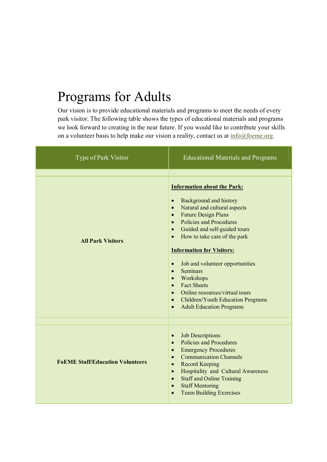### Programs for Adults

Our vision is to provide educational materials and programs to meet the needs of every park visitor. The following table shows the types of educational materials and programs we look forward to creating in the near future. If you would like to contribute your skills on a volunteer basis to help make our vision a reality, contact us at  $\frac{info(@f$ oeme.org.

| Type of Park Visitor                    | <b>Educational Materials and Programs</b>                                                                                                                                                                                                                                                                                                                                                                                                                                                                                                                                                                                                           |
|-----------------------------------------|-----------------------------------------------------------------------------------------------------------------------------------------------------------------------------------------------------------------------------------------------------------------------------------------------------------------------------------------------------------------------------------------------------------------------------------------------------------------------------------------------------------------------------------------------------------------------------------------------------------------------------------------------------|
| <b>All Park Visitors</b>                | <b>Information about the Park:</b><br><b>Background and history</b><br>$\bullet$<br>Natural and cultural aspects<br>$\bullet$<br><b>Future Design Plans</b><br>$\bullet$<br><b>Policies and Procedures</b><br>$\bullet$<br>Guided and self-guided tours<br>$\bullet$<br>How to take care of the park<br>$\bullet$<br><b>Information for Visitors:</b><br>Job and volunteer opportunities<br>$\bullet$<br><b>Seminars</b><br>$\bullet$<br>Workshops<br>$\bullet$<br><b>Fact Sheets</b><br>$\bullet$<br>Online resources/virtual tours<br>$\bullet$<br>Children/Youth Education Programs<br>$\bullet$<br><b>Adult Education Programs</b><br>$\bullet$ |
| <b>FoEME Staff/Education Volunteers</b> | <b>Job Descriptions</b><br>$\bullet$<br>Policies and Procedures<br>$\bullet$<br><b>Emergency Procedures</b><br>$\bullet$<br><b>Communication Channels</b><br>$\bullet$<br><b>Record Keeping</b><br>$\bullet$<br>Hospitality and Cultural Awareness<br>$\bullet$<br><b>Staff and Online Training</b><br>$\bullet$<br><b>Staff Mentoring</b><br>$\bullet$<br><b>Team Building Exercises</b><br>$\bullet$                                                                                                                                                                                                                                              |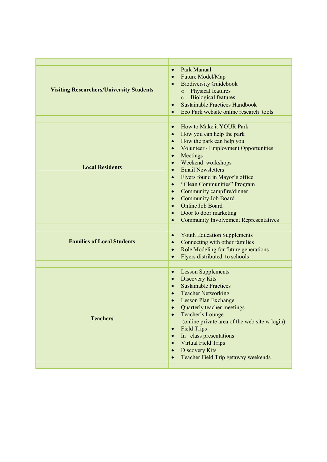| <b>Visiting Researchers/University Students</b> | Park Manual<br>$\bullet$<br>Future Model/Map<br>$\bullet$<br><b>Biodiversity Guidebook</b><br>Physical features<br>$\circ$<br><b>Biological features</b><br>$\circ$<br><b>Sustainable Practices Handbook</b><br>$\bullet$<br>Eco Park website online research tools<br>$\bullet$                                                                                                                                                                                                                                                                                              |
|-------------------------------------------------|-------------------------------------------------------------------------------------------------------------------------------------------------------------------------------------------------------------------------------------------------------------------------------------------------------------------------------------------------------------------------------------------------------------------------------------------------------------------------------------------------------------------------------------------------------------------------------|
| <b>Local Residents</b>                          | How to Make it YOUR Park<br>$\bullet$<br>How you can help the park<br>$\bullet$<br>How the park can help you<br>$\bullet$<br>Volunteer / Employment Opportunities<br>$\bullet$<br>Meetings<br>$\bullet$<br>Weekend workshops<br>$\bullet$<br><b>Email Newsletters</b><br>$\bullet$<br>Flyers found in Mayor's office<br>$\bullet$<br>"Clean Communities" Program<br>$\bullet$<br>Community campfire/dinner<br>$\bullet$<br><b>Community Job Board</b><br>Online Job Board<br>$\bullet$<br>Door to door marketing<br><b>Community Involvement Representatives</b><br>$\bullet$ |
| <b>Families of Local Students</b>               | <b>Youth Education Supplements</b><br>Connecting with other families<br>$\bullet$<br>Role Modeling for future generations<br>$\bullet$<br>Flyers distributed to schools<br>$\bullet$                                                                                                                                                                                                                                                                                                                                                                                          |
| <b>Teachers</b>                                 | <b>Lesson Supplements</b><br><b>Discovery Kits</b><br>$\bullet$<br><b>Sustainable Practices</b><br>$\bullet$<br><b>Teacher Networking</b><br><b>Lesson Plan Exchange</b><br>Quarterly teacher meetings<br>$\bullet$<br>Teacher's Lounge<br>(online private area of the web site w login)<br><b>Field Trips</b><br>$\bullet$<br>In -class presentations<br><b>Virtual Field Trips</b><br>$\bullet$<br>Discovery Kits<br>Teacher Field Trip getaway weekends                                                                                                                    |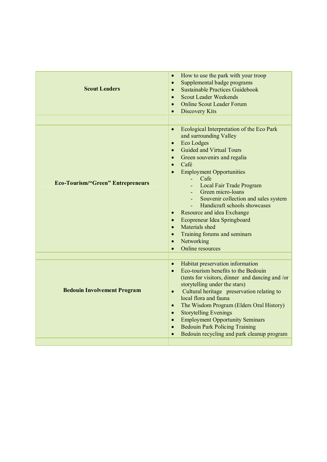| <b>Scout Leaders</b>                     | How to use the park with your troop<br>$\bullet$<br>Supplemental badge programs<br>$\bullet$<br><b>Sustainable Practices Guidebook</b><br>$\bullet$<br><b>Scout Leader Weekends</b><br>$\bullet$<br><b>Online Scout Leader Forum</b><br>$\bullet$<br><b>Discovery Kits</b><br>$\bullet$                                                                                                                                                                                                                                                                                                                      |
|------------------------------------------|--------------------------------------------------------------------------------------------------------------------------------------------------------------------------------------------------------------------------------------------------------------------------------------------------------------------------------------------------------------------------------------------------------------------------------------------------------------------------------------------------------------------------------------------------------------------------------------------------------------|
| <b>Eco-Tourism/"Green" Entrepreneurs</b> | Ecological Interpretation of the Eco Park<br>$\bullet$<br>and surrounding Valley<br>Eco Lodges<br>$\bullet$<br><b>Guided and Virtual Tours</b><br>$\bullet$<br>Green souvenirs and regalia<br>$\bullet$<br>Café<br>$\bullet$<br><b>Employment Opportunities</b><br>Cafe<br>a l<br>Local Fair Trade Program<br>Green micro-loans<br>Souvenir collection and sales system<br>Handicraft schools showcases<br>Resource and idea Exchange<br>Ecopreneur Idea Springboard<br>$\bullet$<br>Materials shed<br>$\bullet$<br>Training forums and seminars<br>$\bullet$<br>Networking<br>$\bullet$<br>Online resources |
| <b>Bedouin Involvement Program</b>       | Habitat preservation information<br>Eco-tourism benefits to the Bedouin<br>$\bullet$<br>(tents for visitors, dinner and dancing and /or<br>storytelling under the stars)<br>Cultural heritage preservation relating to<br>$\bullet$<br>local flora and fauna<br>The Wisdom Program (Elders Oral History)<br>$\bullet$<br><b>Storytelling Evenings</b><br>$\bullet$<br><b>Employment Opportunity Seminars</b><br>$\bullet$<br><b>Bedouin Park Policing Training</b><br>$\bullet$<br>Bedouin recycling and park cleanup program                                                                                |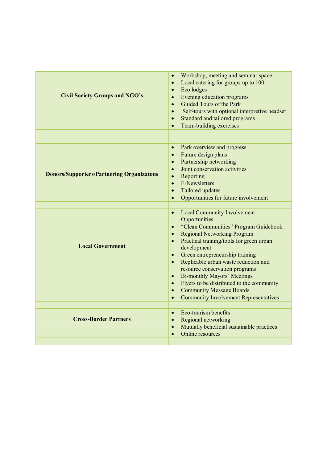| <b>Civil Society Groups and NGO's</b>            | Workshop, meeting and seminar space<br>$\bullet$<br>Local catering for groups up to 100<br>$\bullet$<br>Eco lodges<br>$\bullet$<br>Evening education programs<br>$\bullet$<br>Guided Tours of the Park<br>$\bullet$<br>Self-tours with optional interpretive headset<br>$\bullet$<br>Standard and tailored programs<br>$\bullet$<br>Team-building exercises<br>$\bullet$                                                                                                                                                                                                                                           |
|--------------------------------------------------|--------------------------------------------------------------------------------------------------------------------------------------------------------------------------------------------------------------------------------------------------------------------------------------------------------------------------------------------------------------------------------------------------------------------------------------------------------------------------------------------------------------------------------------------------------------------------------------------------------------------|
|                                                  |                                                                                                                                                                                                                                                                                                                                                                                                                                                                                                                                                                                                                    |
| <b>Donors/Supporters/Partnering Organizatons</b> | Park overview and progress<br>$\bullet$<br>Future design plans<br>$\bullet$<br>Partnership networking<br>$\bullet$<br>Joint conservation activities<br>$\bullet$<br>Reporting<br>$\bullet$<br>E-Newsletters<br>$\bullet$<br>Tailored updates<br>$\bullet$<br>Opportunities for future involvement<br>$\bullet$                                                                                                                                                                                                                                                                                                     |
|                                                  |                                                                                                                                                                                                                                                                                                                                                                                                                                                                                                                                                                                                                    |
| <b>Local Government</b>                          | <b>Local Community Involvement</b><br>$\bullet$<br>Opportunities<br>"Clean Communities" Program Guidebook<br>$\bullet$<br><b>Regional Networking Program</b><br>$\bullet$<br>Practical training/tools for green urban<br>$\bullet$<br>development<br>Green entrepreneurship training<br>$\bullet$<br>Replicable urban waste reduction and<br>$\bullet$<br>resource conservation programs<br><b>Bi-monthly Mayors' Meetings</b><br>$\bullet$<br>Flyers to be distributed to the community<br>$\bullet$<br><b>Community Message Boards</b><br>$\bullet$<br><b>Community Involvement Representatives</b><br>$\bullet$ |
|                                                  |                                                                                                                                                                                                                                                                                                                                                                                                                                                                                                                                                                                                                    |
| <b>Cross-Border Partners</b>                     | Eco-tourism benefits<br>$\bullet$<br>Regional networking<br>$\bullet$<br>Mutually beneficial sustainable practices<br>$\bullet$<br>Online resources<br>$\bullet$                                                                                                                                                                                                                                                                                                                                                                                                                                                   |
|                                                  |                                                                                                                                                                                                                                                                                                                                                                                                                                                                                                                                                                                                                    |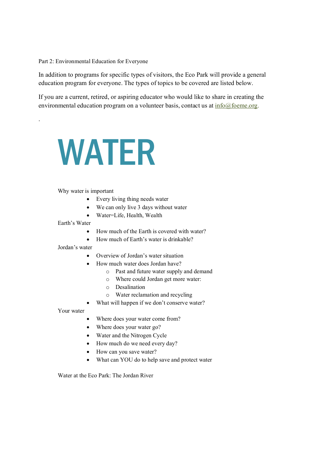Part 2: Environmental Education for Everyone

In addition to programs for specific types of visitors, the Eco Park will provide a general education program for everyone. The types of topics to be covered are listed below.

If you are a current, retired, or aspiring educator who would like to share in creating the environmental education program on a volunteer basis, contact us at info@foeme.org.

# WATER

#### Why water is important

- Every living thing needs water
- We can only live 3 days without water
- Water=Life, Health, Wealth

Earth's Water

.

- How much of the Earth is covered with water?
- How much of Earth's water is drinkable?

Jordan's water

- Overview of Jordan's water situation
- How much water does Jordan have?
	- o Past and future water supply and demand
	- o Where could Jordan get more water:
	- o Desalination
	- o Water reclamation and recycling
- What will happen if we don't conserve water?

Your water

- Where does your water come from?
- Where does your water go?
- Water and the Nitrogen Cycle
- How much do we need every day?
- How can you save water?
- What can YOU do to help save and protect water

Water at the Eco Park: The Jordan River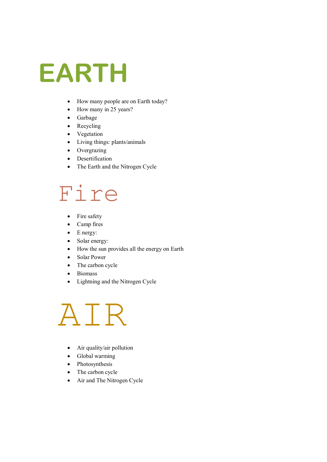## **EARTH**

- How many people are on Earth today?
- How many in 25 years?
- Garbage
- Recycling
- Vegetation
- Living things: plants/animals
- Overgrazing
- Desertification
- The Earth and the Nitrogen Cycle

### Fire

- Fire safety
- Camp fires
- $\bullet$  E nergy:
- Solar energy:
- How the sun provides all the energy on Earth
- Solar Power
- The carbon cycle
- Biomass
- Lightning and the Nitrogen Cycle

## AIR

- Air quality/air pollution
- Global warming
- Photosynthesis
- The carbon cycle
- Air and The Nitrogen Cycle